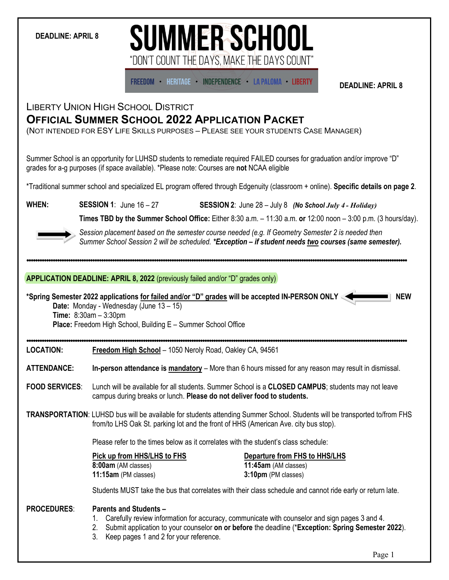### **DEADLINE: APRIL 8**

# **SUMMER SCHOOL** "DON'T COUNT THE DAYS. MAKE THE DAYS COUNT'

**FREEDOM · HERITAGE · INDEPENDENCE · LA PALOMA · LIBERTY** 

**DEADLINE: APRIL 8**

## LIBERTY UNION HIGH SCHOOL DISTRICT **OFFICIAL SUMMER SCHOOL 2022 APPLICATION PACKET**

(NOT INTENDED FOR ESY LIFE SKILLS PURPOSES – PLEASE SEE YOUR STUDENTS CASE MANAGER)

Summer School is an opportunity for LUHSD students to remediate required FAILED courses for graduation and/or improve "D" grades for a-g purposes (if space available). \*Please note: Courses are **not** NCAA eligible

\*Traditional summer school and specialized EL program offered through Edgenuity (classroom + online). **Specific details on page 2**.

**WHEN: SESSION 1**: June 16 – 27 **SESSION 2**: June 28 – July 8 *(No School July 4 - Holiday)*

**Times TBD by the Summer School Office:** Either 8:30 a.m. – 11:30 a.m. **or** 12:00 noon – 3:00 p.m. (3 hours/day).



*Session placement based on the semester course needed (e.g. If Geometry Semester 2 is needed then Summer School Session 2 will be scheduled. \*Exception – if student needs two courses (same semester).*

#### **APPLICATION DEADLINE: APRIL 8, 2022** (previously failed and/or "D" grades only)

**\*Spring Semester 2022 applications for failed and/or "D" grades will be accepted IN-PERSON ONLY NEW**

**Date:** Monday - Wednesday (June 13 – 15) **Time:** 8:30am – 3:30pm **Place:** Freedom High School, Building E – Summer School Office

**LOCATION: Freedom High School** – 1050 Neroly Road, Oakley CA, 94561

**ATTENDANCE: In-person attendance is mandatory** – More than 6 hours missed for any reason may result in dismissal.

**FOOD SERVICES**: Lunch will be available for all students. Summer School is a **CLOSED CAMPUS**; students may not leave campus during breaks or lunch. **Please do not deliver food to students.**

**TRANSPORTATION**: LUHSD bus will be available for students attending Summer School. Students will be transported to/from FHS from/to LHS Oak St. parking lot and the front of HHS (American Ave. city bus stop).

Please refer to the times below as it correlates with the student's class schedule:

| Pick up from HHS/LHS to FHS | Departure from FHS to HHS/LHS |  |
|-----------------------------|-------------------------------|--|
| 8:00am (AM classes)         | <b>11:45am</b> (AM classes)   |  |
| 11:15am (PM classes)        | 3:10pm (PM classes)           |  |

Students MUST take the bus that correlates with their class schedule and cannot ride early or return late.

#### **PROCEDURES**: **Parents and Students –**

- 1. Carefully review information for accuracy, communicate with counselor and sign pages 3 and 4.
- 2. Submit application to your counselor **on or before** the deadline (\***Exception: Spring Semester 2022**).
- 3. Keep pages 1 and 2 for your reference.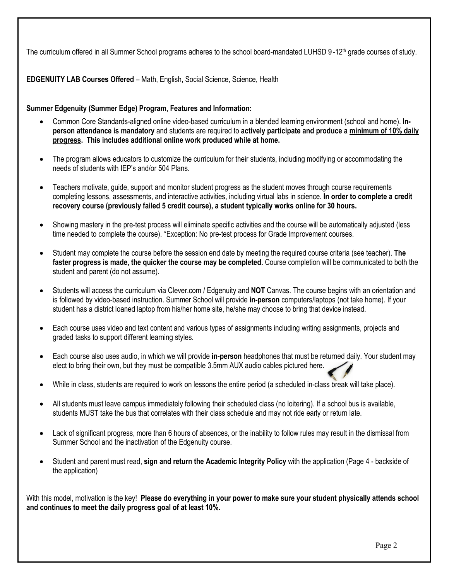The curriculum offered in all Summer School programs adheres to the school board-mandated LUHSD 9-12<sup>th</sup> grade courses of study.

**EDGENUITY LAB Courses Offered** – Math, English, Social Science, Science, Health

### **Summer Edgenuity (Summer Edge) Program, Features and Information:**

- Common Core Standards-aligned online video-based curriculum in a blended learning environment (school and home). **Inperson attendance is mandatory** and students are required to **actively participate and produce a minimum of 10% daily progress. This includes additional online work produced while at home.**
- The program allows educators to customize the curriculum for their students, including modifying or accommodating the needs of students with IEP's and/or 504 Plans.
- Teachers motivate, guide, support and monitor student progress as the student moves through course requirements completing lessons, assessments, and interactive activities, including virtual labs in science. **In order to complete a credit recovery course (previously failed 5 credit course), a student typically works online for 30 hours.**
- Showing mastery in the pre-test process will eliminate specific activities and the course will be automatically adjusted (less time needed to complete the course). \*Exception: No pre-test process for Grade Improvement courses.
- Student may complete the course before the session end date by meeting the required course criteria (see teacher). **The faster progress is made, the quicker the course may be completed.** Course completion will be communicated to both the student and parent (do not assume).
- Students will access the curriculum via Clever.com / Edgenuity and **NOT** Canvas. The course begins with an orientation and is followed by video-based instruction. Summer School will provide **in-person** computers/laptops (not take home). If your student has a district loaned laptop from his/her home site, he/she may choose to bring that device instead.
- Each course uses video and text content and various types of assignments including writing assignments, projects and graded tasks to support different learning styles.
- Each course also uses audio, in which we will provide **in-person** headphones that must be returned daily. Your student may elect to bring their own, but they must be compatible 3.5mm AUX audio cables pictured here.
- While in class, students are required to work on lessons the entire period (a scheduled in-class break will take place).
- All students must leave campus immediately following their scheduled class (no loitering). If a school bus is available, students MUST take the bus that correlates with their class schedule and may not ride early or return late.
- Lack of significant progress, more than 6 hours of absences, or the inability to follow rules may result in the dismissal from Summer School and the inactivation of the Edgenuity course.
- Student and parent must read, **sign and return the Academic Integrity Policy** with the application (Page 4 backside of the application)

With this model, motivation is the key! **Please do everything in your power to make sure your student physically attends school and continues to meet the daily progress goal of at least 10%.**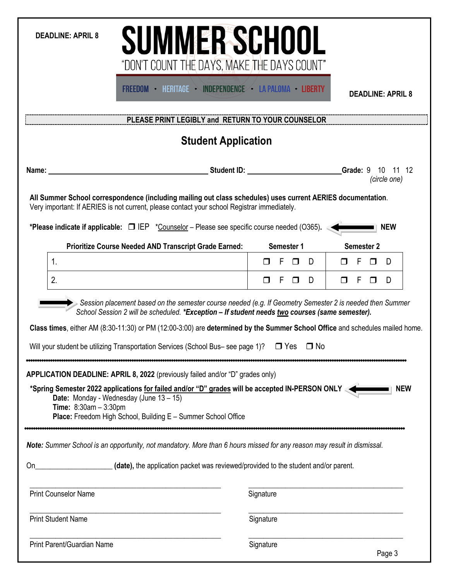| <b>DEADLINE: APRIL 8</b> |  |
|--------------------------|--|
|--------------------------|--|

**SUMMER SCHOOL** "DON'T COUNT THE DAYS, MAKE THE DAYS COUNT"

FREEDOM · HERITAGE · INDEPENDENCE · LA PALOMA · LIBERTY

**DEADLINE: APRIL 8**

**PLEASE PRINT LEGIBLY and RETURN TO YOUR COUNSELOR**

# **Student Application**

| Name:                                                                                                                                                                                                                                                                                                                         | Student ID: <b>Student ID:</b><br>Grade: 9 10 11 12<br>(circle one)                                                                                                                                        |
|-------------------------------------------------------------------------------------------------------------------------------------------------------------------------------------------------------------------------------------------------------------------------------------------------------------------------------|------------------------------------------------------------------------------------------------------------------------------------------------------------------------------------------------------------|
| All Summer School correspondence (including mailing out class schedules) uses current AERIES documentation.<br>Very important: If AERIES is not current, please contact your school Registrar immediately.                                                                                                                    |                                                                                                                                                                                                            |
| *Please indicate if applicable: $\Box$ IEP *Counselor – Please see specific course needed (O365).                                                                                                                                                                                                                             | <b>NEW</b>                                                                                                                                                                                                 |
| <b>Prioritize Course Needed AND Transcript Grade Earned:</b>                                                                                                                                                                                                                                                                  | Semester 2<br>Semester 1                                                                                                                                                                                   |
| $1_{\cdot}$                                                                                                                                                                                                                                                                                                                   | F<br>D<br>F<br>D<br>П                                                                                                                                                                                      |
| 2.                                                                                                                                                                                                                                                                                                                            | $\Box$<br>F<br>D<br>F<br>D<br>П<br>$\Box$                                                                                                                                                                  |
|                                                                                                                                                                                                                                                                                                                               | Session placement based on the semester course needed (e.g. If Geometry Semester 2 is needed then Summer<br>School Session 2 will be scheduled. *Exception - If student needs two courses (same semester). |
|                                                                                                                                                                                                                                                                                                                               | Class times, either AM (8:30-11:30) or PM (12:00-3:00) are determined by the Summer School Office and schedules mailed home.                                                                               |
| Will your student be utilizing Transportation Services (School Bus-see page 1)? $\Box$ Yes $\Box$ No                                                                                                                                                                                                                          |                                                                                                                                                                                                            |
| APPLICATION DEADLINE: APRIL 8, 2022 (previously failed and/or "D" grades only)<br>*Spring Semester 2022 applications for failed and/or "D" grades will be accepted IN-PERSON ONLY<br>Date: Monday - Wednesday (June 13 - 15)<br>Time: 8:30am - 3:30pm<br><b>Place:</b> Freedom High School, Building E - Summer School Office | <b>NEW</b>                                                                                                                                                                                                 |
| Note: Summer School is an opportunity, not mandatory. More than 6 hours missed for any reason may result in dismissal.                                                                                                                                                                                                        |                                                                                                                                                                                                            |
| <b>On</b>                                                                                                                                                                                                                                                                                                                     | (date), the application packet was reviewed/provided to the student and/or parent.                                                                                                                         |
| <b>Print Counselor Name</b>                                                                                                                                                                                                                                                                                                   | Signature                                                                                                                                                                                                  |
| <b>Print Student Name</b>                                                                                                                                                                                                                                                                                                     | Signature                                                                                                                                                                                                  |
| <b>Print Parent/Guardian Name</b>                                                                                                                                                                                                                                                                                             | Signature<br>Page 3                                                                                                                                                                                        |

1